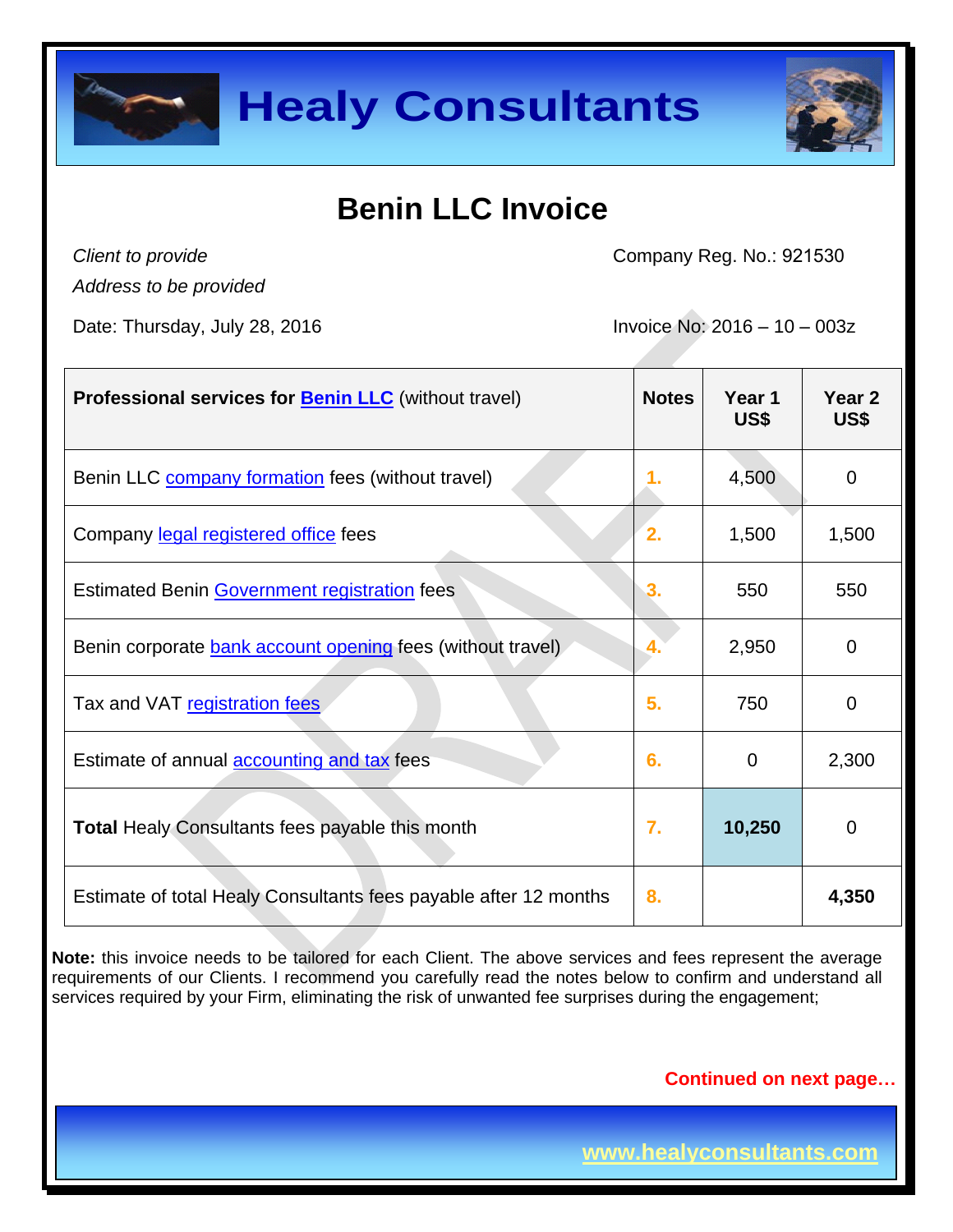



## **Benin LLC Invoice**

*Client to provide*

Company Reg. No.: 921530

*Address to be provided*

Date: Thursday, July 28, 2016  $\qquad \qquad$  Invoice No: 2016 – 10 – 003z

| <b>Professional services for Benin LLC</b> (without travel)      | <b>Notes</b> | Year 1<br>US\$ | Year <sub>2</sub><br>US\$ |
|------------------------------------------------------------------|--------------|----------------|---------------------------|
| Benin LLC <b>company formation</b> fees (without travel)         | 1.           | 4,500          | $\mathbf 0$               |
| Company legal registered office fees                             | 2.           | 1,500          | 1,500                     |
| <b>Estimated Benin Government registration fees</b>              | 3.           | 550            | 550                       |
| Benin corporate bank account opening fees (without travel)       | 4.           | 2,950          | $\mathbf 0$               |
| Tax and VAT registration fees                                    | 5.           | 750            | 0                         |
| Estimate of annual <b>accounting and tax</b> fees                | 6.           | $\overline{0}$ | 2,300                     |
| <b>Total Healy Consultants fees payable this month</b>           | 7.           | 10,250         | $\mathbf 0$               |
| Estimate of total Healy Consultants fees payable after 12 months | 8.           |                | 4,350                     |

**Note:** this invoice needs to be tailored for each Client. The above services and fees represent the average requirements of our Clients. I recommend you carefully read the notes below to confirm and understand all services required by your Firm, eliminating the risk of unwanted fee surprises during the engagement;

**Continued on next page…**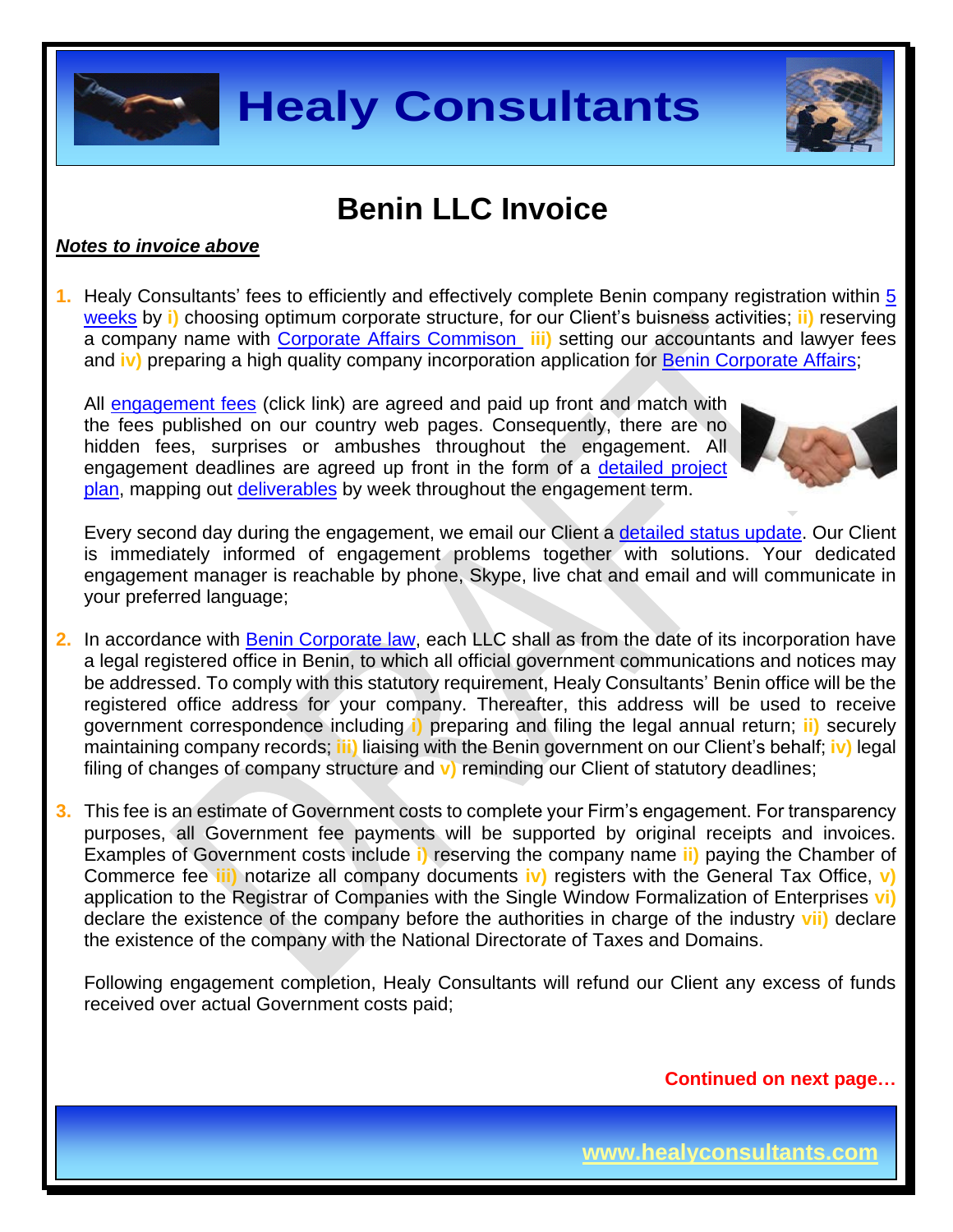



### **Benin LLC Invoice**

#### *Notes to invoice above*

**1.** Healy Consultants' fees to efficiently and effectively complete Benin company registration within [5](http://www.healyconsultants.com/benin-company-registration/fees-timelines/#timelines) [weeks](http://www.healyconsultants.com/benin-company-registration/fees-timelines/#timelines) by **i)** choosing optimum corporate structure, for our Client's buisness activities; **ii)** reserving a company name with [Corporate Affairs Commison](http://new.cac.gov.ng/home/state-offices/) **iii)** setting our accountants and lawyer fees and **iv)** preparing a high quality company incorporation application for [Benin Corporate Affairs;](http://new.cac.gov.ng/home/state-offices/)

All [engagement fees](http://www.healyconsultants.com/company-registration-fees/) (click link) are agreed and paid up front and match with the fees published on our country web pages. Consequently, there are no hidden fees, surprises or ambushes throughout the engagement. All engagement deadlines are agreed up front in the form of a [detailed project](http://www.healyconsultants.com/index-important-links/example-project-plan/)  [plan,](http://www.healyconsultants.com/index-important-links/example-project-plan/) mapping out [deliverables](http://www.healyconsultants.com/deliverables-to-our-clients/) by week throughout the engagement term.



Every second day during the engagement, we email our Client a [detailed status update.](http://www.healyconsultants.com/index-important-links/weekly-engagement-status-email/) Our Client is immediately informed of engagement problems together with solutions. Your dedicated engagement manager is reachable by phone, Skype, live chat and email and will communicate in your preferred language;

- **2.** In accordance with Benin [Corporate](http://otlconseils.com/documents/publications/Guidelines-for-foreign-investors-in-the-Republic-of-Benin-2012-08-29-13-28-24.pdf) law, each LLC shall as from the date of its incorporation have a legal registered office in Benin, to which all official government communications and notices may be addressed. To comply with this statutory requirement, Healy Consultants' Benin office will be the registered office address for your company. Thereafter, this address will be used to receive government correspondence including **i)** preparing and filing the legal annual return; **ii)** securely maintaining company records; **iii)** liaising with the Benin government on our Client's behalf; **iv)** legal filing of changes of company structure and **v)** reminding our Client of statutory deadlines;
- **3.** This fee is an estimate of Government costs to complete your Firm's engagement. For transparency purposes, all Government fee payments will be supported by original receipts and invoices. Examples of Government costs include **i)** reserving the company name **ii)** paying the Chamber of Commerce fee **iii)** notarize all company documents **iv)** registers with the General Tax Office, **v)** application to the Registrar of Companies with the Single Window Formalization of Enterprises **vi)** declare the existence of the company before the authorities in charge of the industry **vii)** declare the existence of the company with the National Directorate of Taxes and Domains.

Following engagement completion, Healy Consultants will refund our Client any excess of funds received over actual Government costs paid;

**Continued on next page…**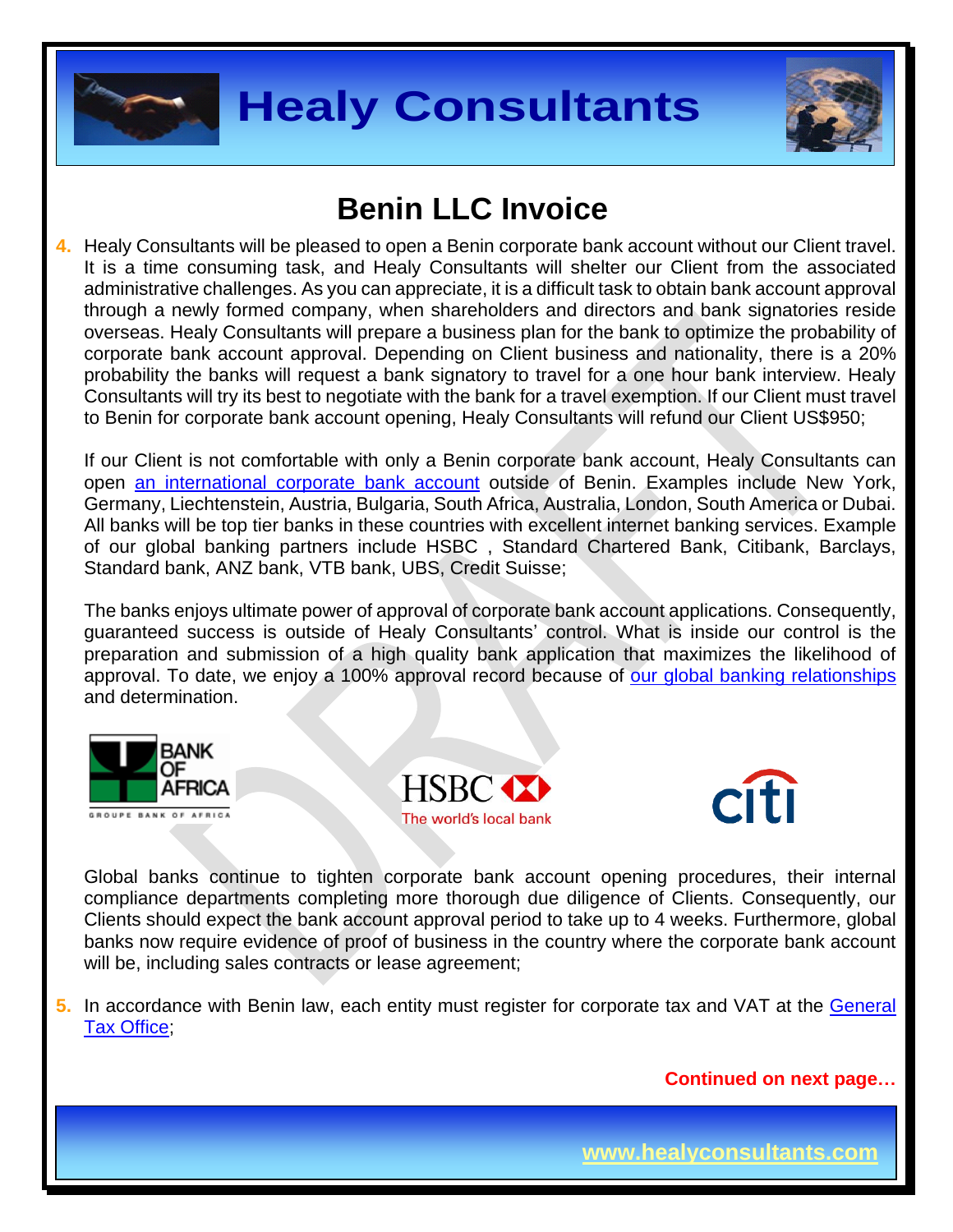



## **Benin LLC Invoice**

**4.** Healy Consultants will be pleased to open a Benin corporate bank account without our Client travel. It is a time consuming task, and Healy Consultants will shelter our Client from the associated administrative challenges. As you can appreciate, it is a difficult task to obtain bank account approval through a newly formed company, when shareholders and directors and bank signatories reside overseas. Healy Consultants will prepare a business plan for the bank to optimize the probability of corporate bank account approval. Depending on Client business and nationality, there is a 20% probability the banks will request a bank signatory to travel for a one hour bank interview. Healy Consultants will try its best to negotiate with the bank for a travel exemption. If our Client must travel to Benin for corporate bank account opening, Healy Consultants will refund our Client US\$950;

If our Client is not comfortable with only a Benin corporate bank account, Healy Consultants can open [an international corporate bank account](http://www.healyconsultants.com/international-banking/) outside of Benin. Examples include New York, Germany, Liechtenstein, Austria, Bulgaria, South Africa, Australia, London, South America or Dubai. All banks will be top tier banks in these countries with excellent internet banking services. Example of our global banking partners include HSBC , Standard Chartered Bank, Citibank, Barclays, Standard bank, ANZ bank, VTB bank, UBS, Credit Suisse;

The banks enjoys ultimate power of approval of corporate bank account applications. Consequently, guaranteed success is outside of Healy Consultants' control. What is inside our control is the preparation and submission of a high quality bank application that maximizes the likelihood of approval. To date, we enjoy a 100% approval record because of [our global banking relationships](http://www.healyconsultants.com/international-banking/corporate-accounts/) and determination.







Global banks continue to tighten corporate bank account opening procedures, their internal compliance departments completing more thorough due diligence of Clients. Consequently, our Clients should expect the bank account approval period to take up to 4 weeks. Furthermore, global banks now require evidence of proof of business in the country where the corporate bank account will be, including sales contracts or lease agreement;

**5.** In accordance with Benin law, each entity must register for corporate tax and VAT at the [General](http://www.impots.finances.gouv.bj/accueil/)  [Tax Office;](http://www.impots.finances.gouv.bj/accueil/)

**Continued on next page…**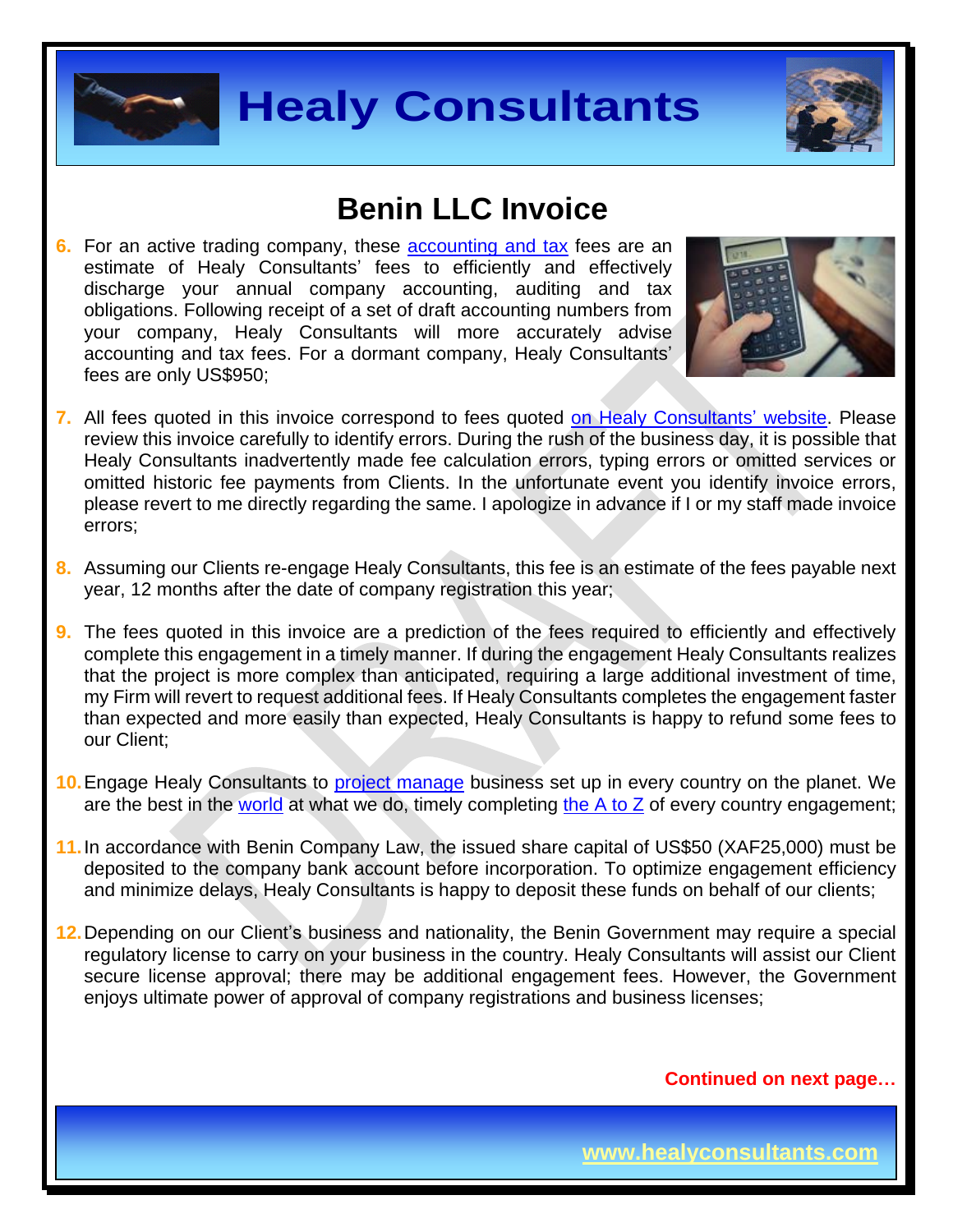



#### **Benin LLC Invoice**

**6.** For an active trading company, these **[accounting and tax](http://www.healyconsultants.com/benin-company-registration/accounting-legal/)** fees are an estimate of Healy Consultants' fees to efficiently and effectively discharge your annual company accounting, auditing and tax obligations. Following receipt of a set of draft accounting numbers from your company, Healy Consultants will more accurately advise accounting and tax fees. For a dormant company, Healy Consultants' fees are only US\$950;



- **7.** All fees quoted in this invoice correspond to fees quoted [on Healy Consultants'](http://www.healyconsultants.com/benin-company-registration/accounting-legal/) website. Please review this invoice carefully to identify errors. During the rush of the business day, it is possible that Healy Consultants inadvertently made fee calculation errors, typing errors or omitted services or omitted historic fee payments from Clients. In the unfortunate event you identify invoice errors, please revert to me directly regarding the same. I apologize in advance if I or my staff made invoice errors;
- **8.** Assuming our Clients re-engage Healy Consultants, this fee is an estimate of the fees payable next year, 12 months after the date of company registration this year;
- **9.** The fees quoted in this invoice are a prediction of the fees required to efficiently and effectively complete this engagement in a timely manner. If during the engagement Healy Consultants realizes that the project is more complex than anticipated, requiring a large additional investment of time, my Firm will revert to request additional fees. If Healy Consultants completes the engagement faster than expected and more easily than expected, Healy Consultants is happy to refund some fees to our Client;
- **10.**Engage Healy Consultants to [project manage](http://www.healyconsultants.com/project-manage-engagements/) business set up in every country on the planet. We are the best in the [world](http://www.healyconsultants.com/best-in-the-world/) at what we do, timely completing the  $A$  to  $Z$  of every country engagement;
- **11.**In accordance with Benin Company Law, the issued share capital of US\$50 (XAF25,000) must be deposited to the company bank account before incorporation. To optimize engagement efficiency and minimize delays, Healy Consultants is happy to deposit these funds on behalf of our clients;
- **12.**Depending on our Client's business and nationality, the Benin Government may require a special regulatory license to carry on your business in the country. Healy Consultants will assist our Client secure license approval; there may be additional engagement fees. However, the Government enjoys ultimate power of approval of company registrations and business licenses;

**Continued on next page…**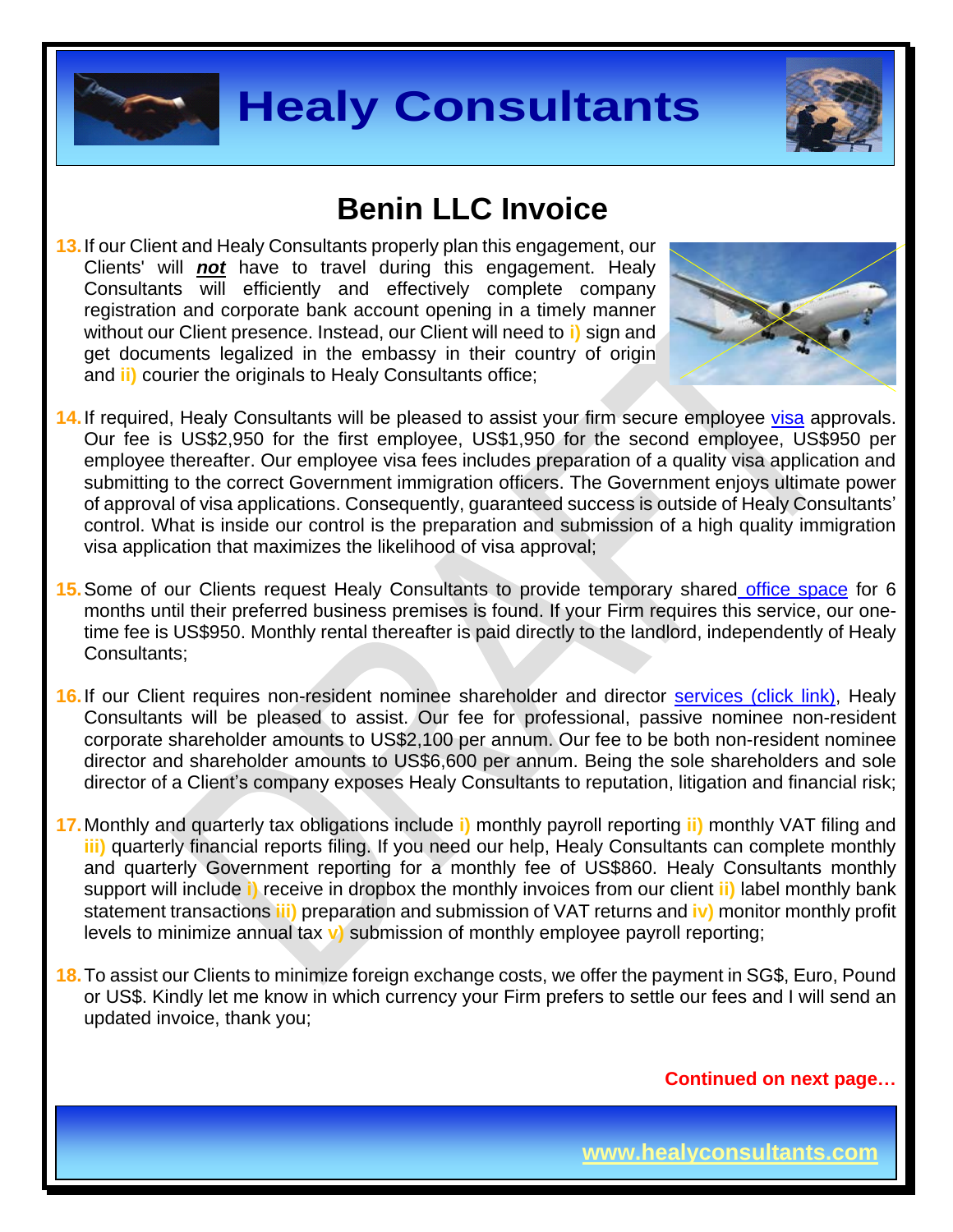



#### **Benin LLC Invoice**

**13.**If our Client and Healy Consultants properly plan this engagement, our Clients' will *not* have to travel during this engagement. Healy Consultants will efficiently and effectively complete company registration and corporate bank account opening in a timely manner without our Client presence. Instead, our Client will need to **i)** sign and get documents legalized in the embassy in their country of origin and **ii)** courier the originals to Healy Consultants office;



- **14.**If required, Healy Consultants will be pleased to assist your firm secure employee [visa](http://www.healyconsultants.com/corporate-advisory-services/) approvals. Our fee is US\$2,950 for the first employee, US\$1,950 for the second employee, US\$950 per employee thereafter. Our employee visa fees includes preparation of a quality visa application and submitting to the correct Government immigration officers. The Government enjoys ultimate power of approval of visa applications. Consequently, guaranteed success is outside of Healy Consultants' control. What is inside our control is the preparation and submission of a high quality immigration visa application that maximizes the likelihood of visa approval;
- **15.**Some of our Clients request Healy Consultants to provide temporary shared [office space](http://www.healyconsultants.com/virtual-office/) for 6 months until their preferred business premises is found. If your Firm requires this service, our onetime fee is US\$950. Monthly rental thereafter is paid directly to the landlord, independently of Healy Consultants;
- **16.**If our Client requires non-resident nominee shareholder and director services [\(click link\),](http://www.healyconsultants.com/corporate-outsourcing-services/nominee-shareholders-directors/) Healy Consultants will be pleased to assist. Our fee for professional, passive nominee non-resident corporate shareholder amounts to US\$2,100 per annum. Our fee to be both non-resident nominee director and shareholder amounts to US\$6,600 per annum. Being the sole shareholders and sole director of a Client's company exposes Healy Consultants to reputation, litigation and financial risk;
- **17.**Monthly and quarterly tax obligations include **i)** monthly payroll reporting **ii)** monthly VAT filing and **iii)** quarterly financial reports filing. If you need our help, Healy Consultants can complete monthly and quarterly Government reporting for a monthly fee of US\$860. Healy Consultants monthly support will include **i)** receive in dropbox the monthly invoices from our client **ii)** label monthly bank statement transactions **iii)** preparation and submission of VAT returns and **iv)** monitor monthly profit levels to minimize annual tax **v)** submission of monthly employee payroll reporting;
- **18.**To assist our Clients to minimize foreign exchange costs, we offer the payment in SG\$, Euro, Pound or US\$. Kindly let me know in which currency your Firm prefers to settle our fees and I will send an updated invoice, thank you;

**Continued on next page…**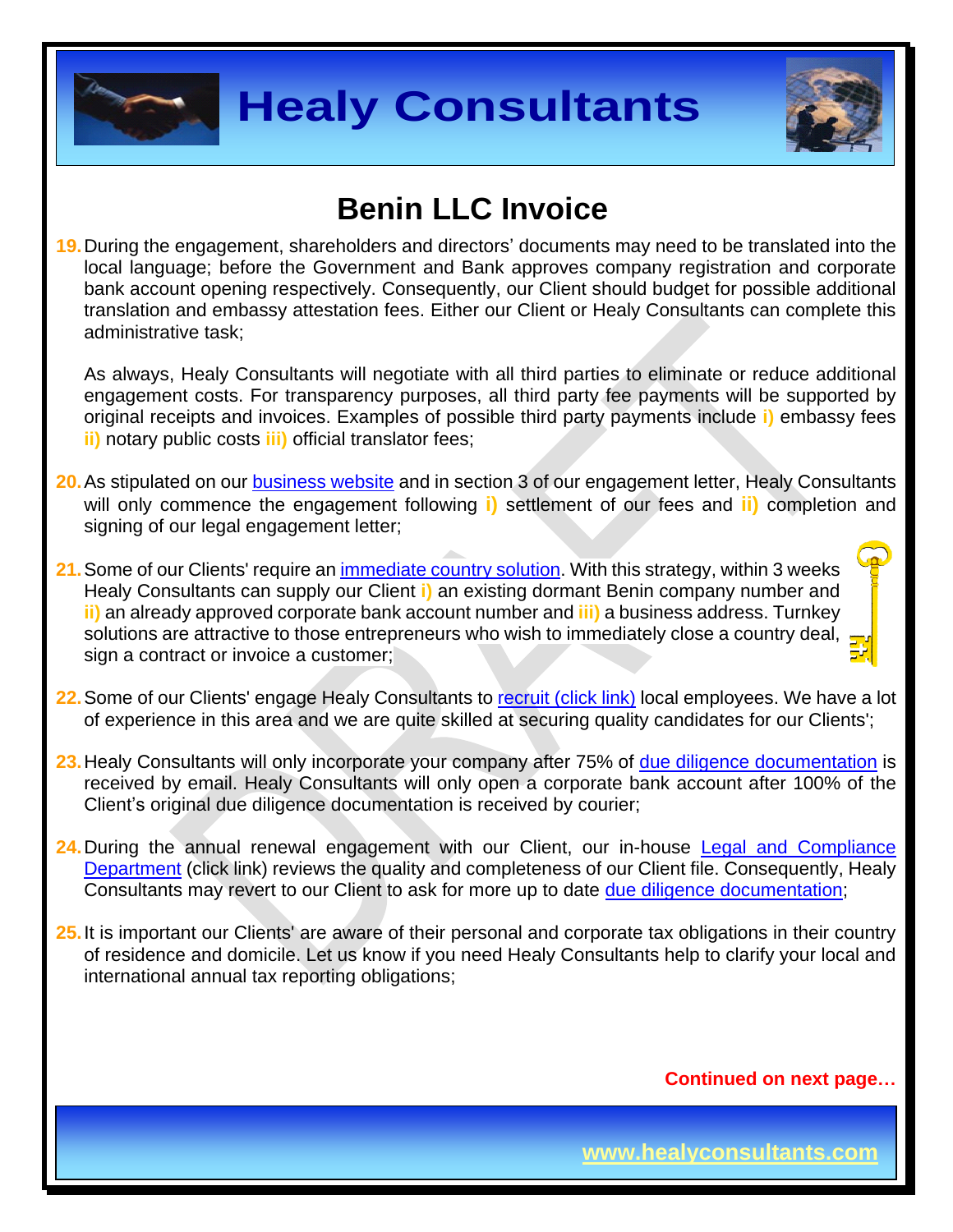



### **Benin LLC Invoice**

**19.**During the engagement, shareholders and directors' documents may need to be translated into the local language; before the Government and Bank approves company registration and corporate bank account opening respectively. Consequently, our Client should budget for possible additional translation and embassy attestation fees. Either our Client or Healy Consultants can complete this administrative task;

As always, Healy Consultants will negotiate with all third parties to eliminate or reduce additional engagement costs. For transparency purposes, all third party fee payments will be supported by original receipts and invoices. Examples of possible third party payments include **i)** embassy fees **ii)** notary public costs **iii)** official translator fees;

- **20.**As stipulated on our [business website](http://www.healyconsultants.com/) and in section 3 of our engagement letter, Healy Consultants will only commence the engagement following **i)** settlement of our fees and **ii)** completion and signing of our legal engagement letter;
- 21. Some of our Clients' require an *immediate country solution*. With this strategy, within 3 weeks Healy Consultants can supply our Client **i)** an existing dormant Benin company number and **ii)** an already approved corporate bank account number and **iii)** a business address. Turnkey solutions are attractive to those entrepreneurs who wish to immediately close a country deal, sign a contract or invoice a customer;
- **22.**Some of our Clients' engage Healy Consultants to [recruit \(click link\)](http://www.healyconsultants.com/corporate-outsourcing-services/how-we-help-our-clients-recruit-quality-employees/) local employees. We have a lot of experience in this area and we are quite skilled at securing quality candidates for our Clients';
- **23.**Healy Consultants will only incorporate your company after 75% of [due diligence documentation](http://www.healyconsultants.com/due-diligence/) is received by email. Healy Consultants will only open a corporate bank account after 100% of the Client's original due diligence documentation is received by courier;
- 24. During the annual renewal engagement with our Client, our in-house Legal and Compliance [Department](http://www.healyconsultants.com/about-us/key-personnel/cai-xin-profile/) (click link) reviews the quality and completeness of our Client file. Consequently, Healy Consultants may revert to our Client to ask for more up to date [due diligence documentation;](http://www.healyconsultants.com/due-diligence/)
- **25.**It is important our Clients' are aware of their personal and corporate tax obligations in their country of residence and domicile. Let us know if you need Healy Consultants help to clarify your local and international annual tax reporting obligations;

**Continued on next page…**